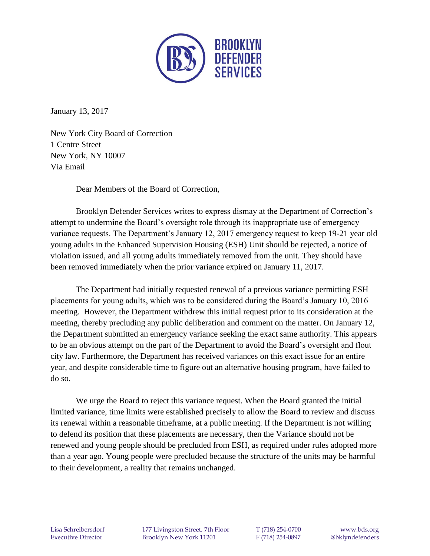

January 13, 2017

New York City Board of Correction 1 Centre Street New York, NY 10007 Via Email

Dear Members of the Board of Correction,

Brooklyn Defender Services writes to express dismay at the Department of Correction's attempt to undermine the Board's oversight role through its inappropriate use of emergency variance requests. The Department's January 12, 2017 emergency request to keep 19-21 year old young adults in the Enhanced Supervision Housing (ESH) Unit should be rejected, a notice of violation issued, and all young adults immediately removed from the unit. They should have been removed immediately when the prior variance expired on January 11, 2017.

The Department had initially requested renewal of a previous variance permitting ESH placements for young adults, which was to be considered during the Board's January 10, 2016 meeting. However, the Department withdrew this initial request prior to its consideration at the meeting, thereby precluding any public deliberation and comment on the matter. On January 12, the Department submitted an emergency variance seeking the exact same authority. This appears to be an obvious attempt on the part of the Department to avoid the Board's oversight and flout city law. Furthermore, the Department has received variances on this exact issue for an entire year, and despite considerable time to figure out an alternative housing program, have failed to do so.

We urge the Board to reject this variance request. When the Board granted the initial limited variance, time limits were established precisely to allow the Board to review and discuss its renewal within a reasonable timeframe, at a public meeting. If the Department is not willing to defend its position that these placements are necessary, then the Variance should not be renewed and young people should be precluded from ESH, as required under rules adopted more than a year ago. Young people were precluded because the structure of the units may be harmful to their development, a reality that remains unchanged.

Lisa Schreibersdorf 177 Livingston Street, 7th Floor T (718) 254-0700 www.bds.org Executive Director Brooklyn New York 11201 F (718) 254-0897 @bklyndefenders